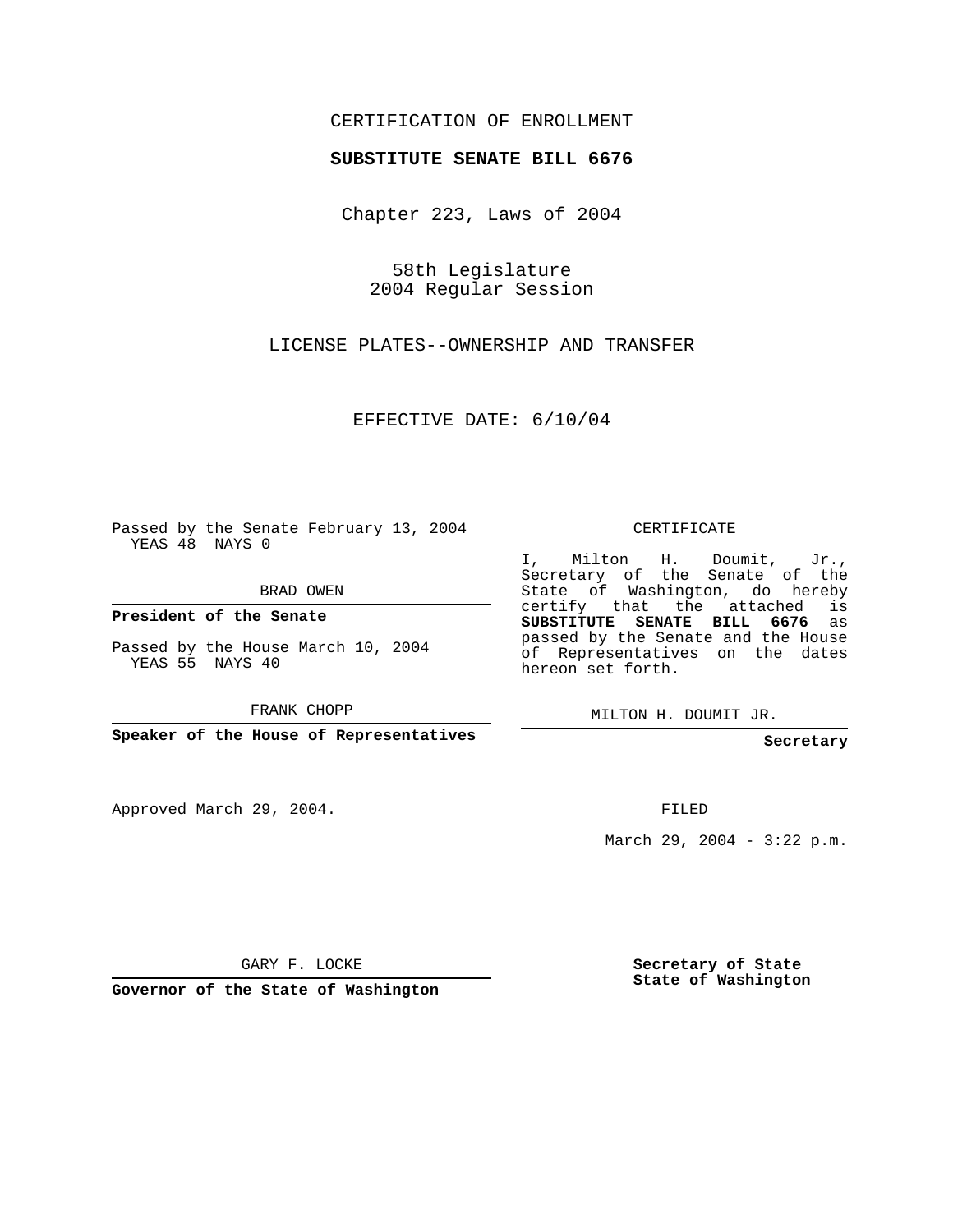## CERTIFICATION OF ENROLLMENT

#### **SUBSTITUTE SENATE BILL 6676**

Chapter 223, Laws of 2004

58th Legislature 2004 Regular Session

LICENSE PLATES--OWNERSHIP AND TRANSFER

EFFECTIVE DATE: 6/10/04

Passed by the Senate February 13, 2004 YEAS 48 NAYS 0

BRAD OWEN

**President of the Senate**

Passed by the House March 10, 2004 YEAS 55 NAYS 40

FRANK CHOPP

**Speaker of the House of Representatives**

Approved March 29, 2004.

CERTIFICATE

I, Milton H. Doumit, Jr., Secretary of the Senate of the State of Washington, do hereby certify that the attached is **SUBSTITUTE SENATE BILL 6676** as passed by the Senate and the House of Representatives on the dates hereon set forth.

MILTON H. DOUMIT JR.

**Secretary**

FILED

March 29, 2004 - 3:22 p.m.

GARY F. LOCKE

**Governor of the State of Washington**

**Secretary of State State of Washington**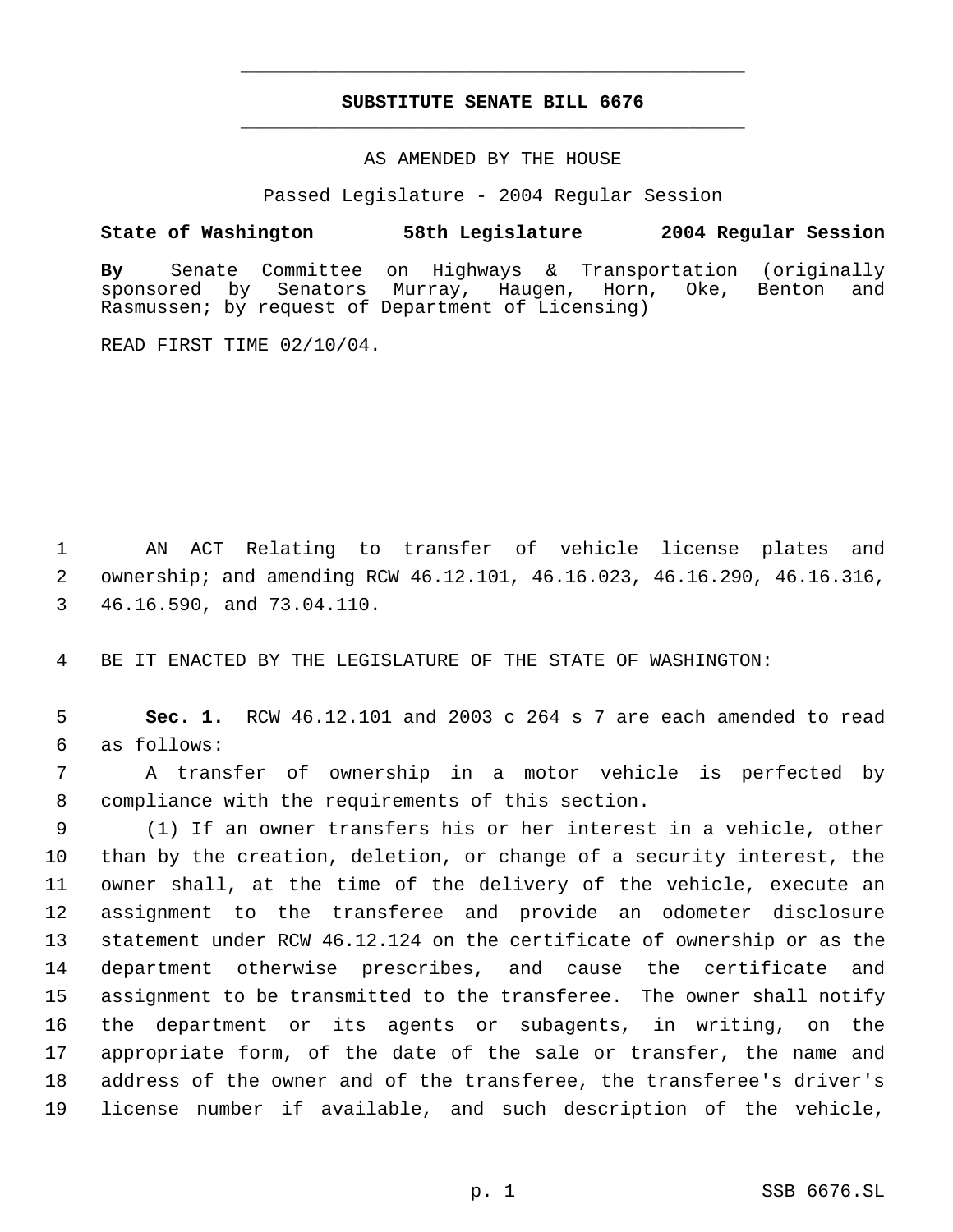# **SUBSTITUTE SENATE BILL 6676** \_\_\_\_\_\_\_\_\_\_\_\_\_\_\_\_\_\_\_\_\_\_\_\_\_\_\_\_\_\_\_\_\_\_\_\_\_\_\_\_\_\_\_\_\_

\_\_\_\_\_\_\_\_\_\_\_\_\_\_\_\_\_\_\_\_\_\_\_\_\_\_\_\_\_\_\_\_\_\_\_\_\_\_\_\_\_\_\_\_\_

### AS AMENDED BY THE HOUSE

Passed Legislature - 2004 Regular Session

### **State of Washington 58th Legislature 2004 Regular Session**

**By** Senate Committee on Highways & Transportation (originally sponsored by Senators Murray, Haugen, Horn, Oke, Benton and Rasmussen; by request of Department of Licensing)

READ FIRST TIME 02/10/04.

 AN ACT Relating to transfer of vehicle license plates and ownership; and amending RCW 46.12.101, 46.16.023, 46.16.290, 46.16.316, 46.16.590, and 73.04.110.

BE IT ENACTED BY THE LEGISLATURE OF THE STATE OF WASHINGTON:

 **Sec. 1.** RCW 46.12.101 and 2003 c 264 s 7 are each amended to read as follows:

 A transfer of ownership in a motor vehicle is perfected by compliance with the requirements of this section.

 (1) If an owner transfers his or her interest in a vehicle, other than by the creation, deletion, or change of a security interest, the owner shall, at the time of the delivery of the vehicle, execute an assignment to the transferee and provide an odometer disclosure statement under RCW 46.12.124 on the certificate of ownership or as the department otherwise prescribes, and cause the certificate and assignment to be transmitted to the transferee. The owner shall notify the department or its agents or subagents, in writing, on the appropriate form, of the date of the sale or transfer, the name and address of the owner and of the transferee, the transferee's driver's license number if available, and such description of the vehicle,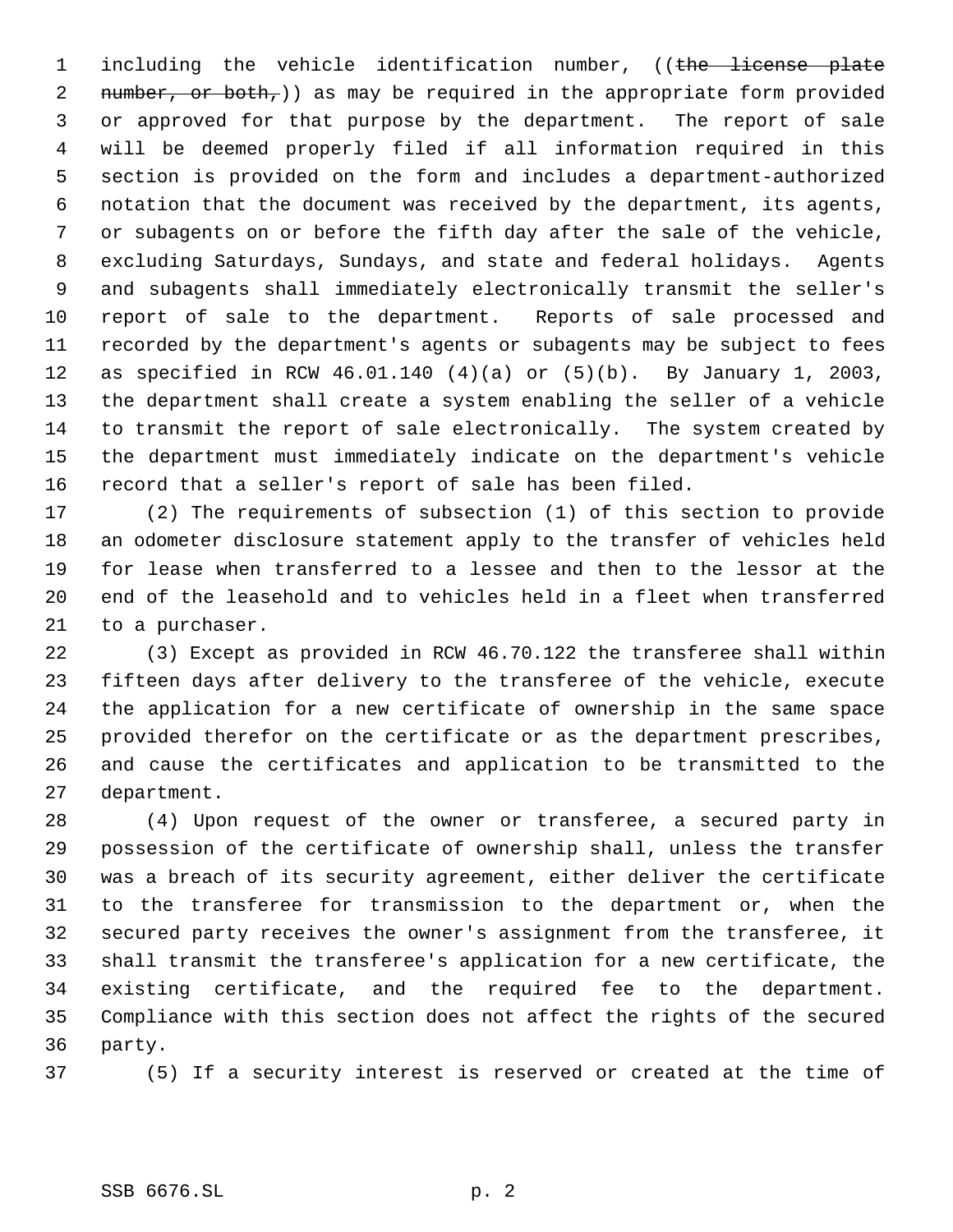1 including the vehicle identification number, ((the license plate 2 number, or both,)) as may be required in the appropriate form provided or approved for that purpose by the department. The report of sale will be deemed properly filed if all information required in this section is provided on the form and includes a department-authorized notation that the document was received by the department, its agents, or subagents on or before the fifth day after the sale of the vehicle, excluding Saturdays, Sundays, and state and federal holidays. Agents and subagents shall immediately electronically transmit the seller's report of sale to the department. Reports of sale processed and recorded by the department's agents or subagents may be subject to fees as specified in RCW 46.01.140 (4)(a) or (5)(b). By January 1, 2003, the department shall create a system enabling the seller of a vehicle to transmit the report of sale electronically. The system created by the department must immediately indicate on the department's vehicle record that a seller's report of sale has been filed.

 (2) The requirements of subsection (1) of this section to provide an odometer disclosure statement apply to the transfer of vehicles held for lease when transferred to a lessee and then to the lessor at the end of the leasehold and to vehicles held in a fleet when transferred to a purchaser.

 (3) Except as provided in RCW 46.70.122 the transferee shall within fifteen days after delivery to the transferee of the vehicle, execute the application for a new certificate of ownership in the same space provided therefor on the certificate or as the department prescribes, and cause the certificates and application to be transmitted to the department.

 (4) Upon request of the owner or transferee, a secured party in possession of the certificate of ownership shall, unless the transfer was a breach of its security agreement, either deliver the certificate to the transferee for transmission to the department or, when the secured party receives the owner's assignment from the transferee, it shall transmit the transferee's application for a new certificate, the existing certificate, and the required fee to the department. Compliance with this section does not affect the rights of the secured party.

(5) If a security interest is reserved or created at the time of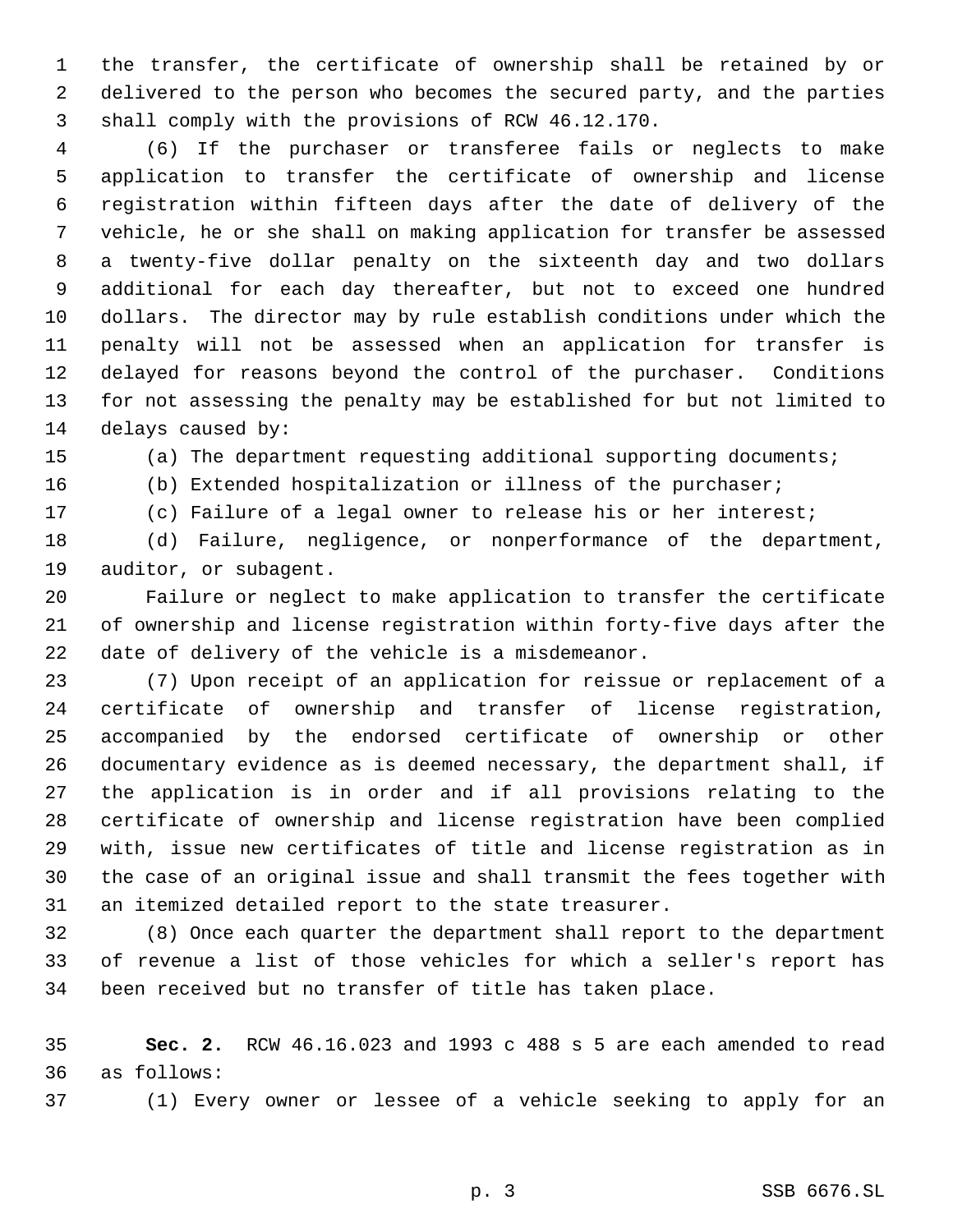the transfer, the certificate of ownership shall be retained by or delivered to the person who becomes the secured party, and the parties shall comply with the provisions of RCW 46.12.170.

 (6) If the purchaser or transferee fails or neglects to make application to transfer the certificate of ownership and license registration within fifteen days after the date of delivery of the vehicle, he or she shall on making application for transfer be assessed a twenty-five dollar penalty on the sixteenth day and two dollars additional for each day thereafter, but not to exceed one hundred dollars. The director may by rule establish conditions under which the penalty will not be assessed when an application for transfer is delayed for reasons beyond the control of the purchaser. Conditions for not assessing the penalty may be established for but not limited to delays caused by:

(a) The department requesting additional supporting documents;

(b) Extended hospitalization or illness of the purchaser;

(c) Failure of a legal owner to release his or her interest;

 (d) Failure, negligence, or nonperformance of the department, auditor, or subagent.

 Failure or neglect to make application to transfer the certificate of ownership and license registration within forty-five days after the date of delivery of the vehicle is a misdemeanor.

 (7) Upon receipt of an application for reissue or replacement of a certificate of ownership and transfer of license registration, accompanied by the endorsed certificate of ownership or other documentary evidence as is deemed necessary, the department shall, if the application is in order and if all provisions relating to the certificate of ownership and license registration have been complied with, issue new certificates of title and license registration as in the case of an original issue and shall transmit the fees together with an itemized detailed report to the state treasurer.

 (8) Once each quarter the department shall report to the department of revenue a list of those vehicles for which a seller's report has been received but no transfer of title has taken place.

 **Sec. 2.** RCW 46.16.023 and 1993 c 488 s 5 are each amended to read as follows:

(1) Every owner or lessee of a vehicle seeking to apply for an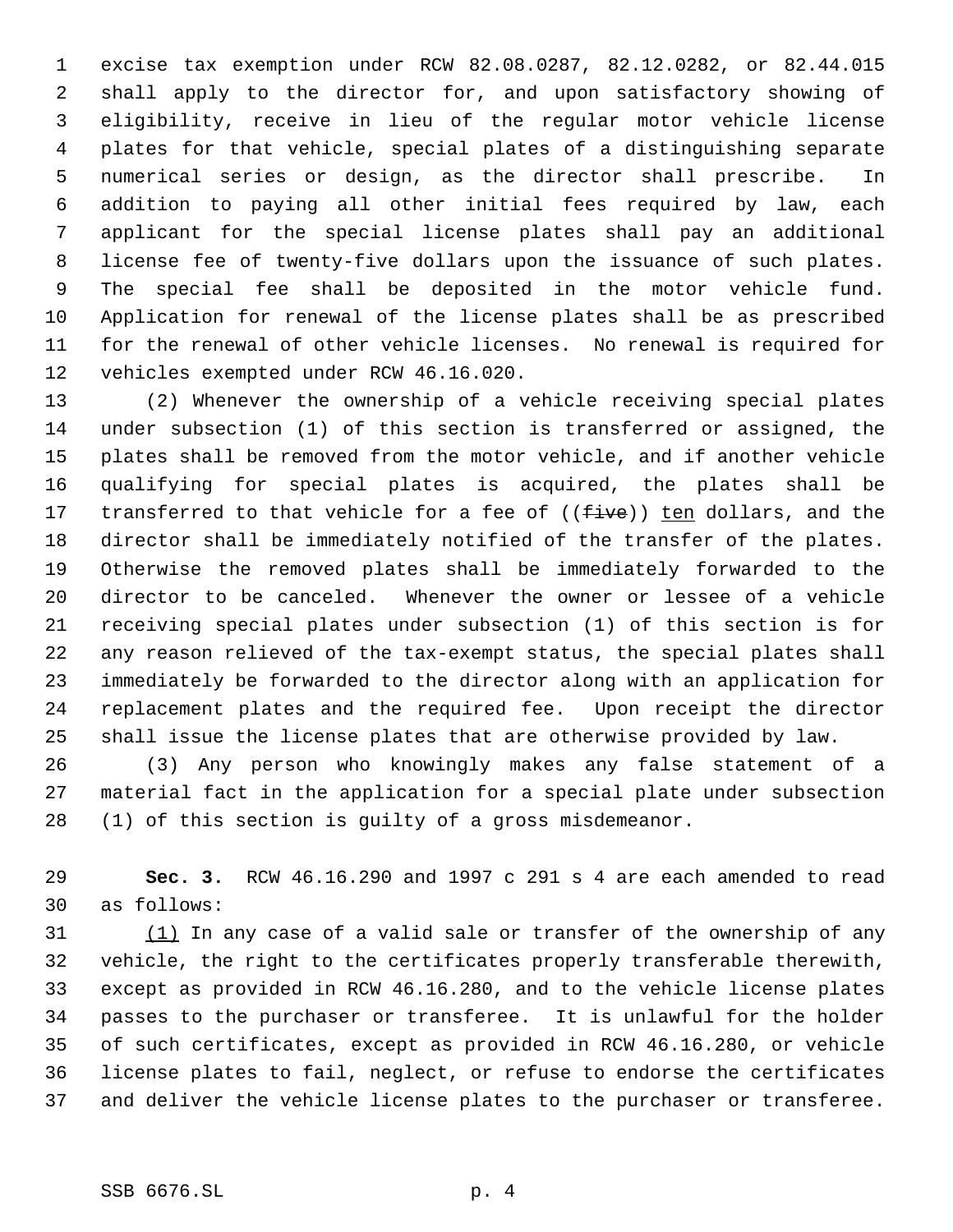excise tax exemption under RCW 82.08.0287, 82.12.0282, or 82.44.015 shall apply to the director for, and upon satisfactory showing of eligibility, receive in lieu of the regular motor vehicle license plates for that vehicle, special plates of a distinguishing separate numerical series or design, as the director shall prescribe. In addition to paying all other initial fees required by law, each applicant for the special license plates shall pay an additional license fee of twenty-five dollars upon the issuance of such plates. The special fee shall be deposited in the motor vehicle fund. Application for renewal of the license plates shall be as prescribed for the renewal of other vehicle licenses. No renewal is required for vehicles exempted under RCW 46.16.020.

 (2) Whenever the ownership of a vehicle receiving special plates under subsection (1) of this section is transferred or assigned, the plates shall be removed from the motor vehicle, and if another vehicle qualifying for special plates is acquired, the plates shall be 17 transferred to that vehicle for a fee of ((five)) ten dollars, and the director shall be immediately notified of the transfer of the plates. Otherwise the removed plates shall be immediately forwarded to the director to be canceled. Whenever the owner or lessee of a vehicle receiving special plates under subsection (1) of this section is for any reason relieved of the tax-exempt status, the special plates shall immediately be forwarded to the director along with an application for replacement plates and the required fee. Upon receipt the director shall issue the license plates that are otherwise provided by law.

 (3) Any person who knowingly makes any false statement of a material fact in the application for a special plate under subsection (1) of this section is guilty of a gross misdemeanor.

 **Sec. 3.** RCW 46.16.290 and 1997 c 291 s 4 are each amended to read as follows:

31 (1) In any case of a valid sale or transfer of the ownership of any vehicle, the right to the certificates properly transferable therewith, except as provided in RCW 46.16.280, and to the vehicle license plates passes to the purchaser or transferee. It is unlawful for the holder of such certificates, except as provided in RCW 46.16.280, or vehicle license plates to fail, neglect, or refuse to endorse the certificates and deliver the vehicle license plates to the purchaser or transferee.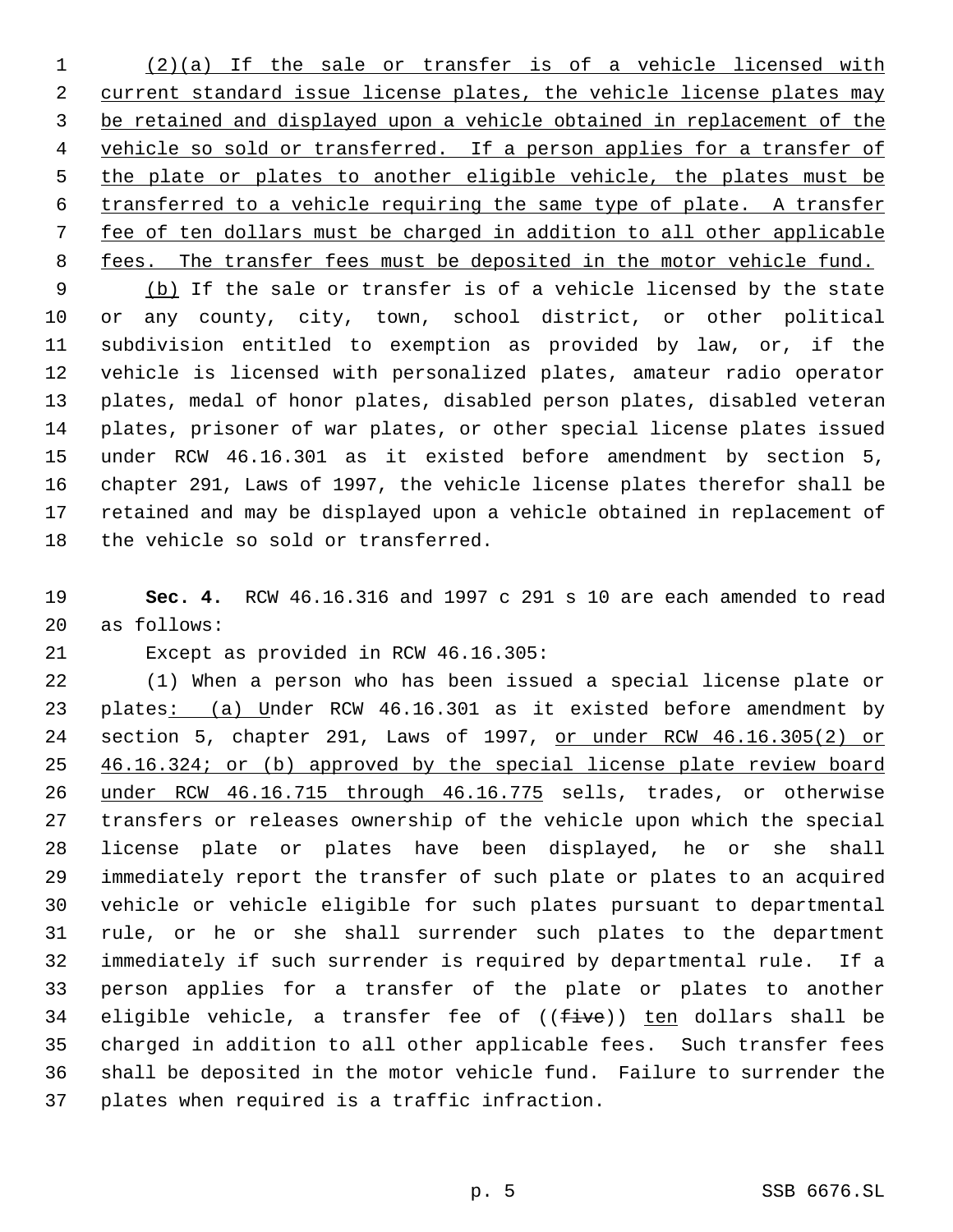(2)(a) If the sale or transfer is of a vehicle licensed with 2 current standard issue license plates, the vehicle license plates may be retained and displayed upon a vehicle obtained in replacement of the 4 vehicle so sold or transferred. If a person applies for a transfer of 5 the plate or plates to another eligible vehicle, the plates must be transferred to a vehicle requiring the same type of plate. A transfer fee of ten dollars must be charged in addition to all other applicable 8 fees. The transfer fees must be deposited in the motor vehicle fund.

9 (b) If the sale or transfer is of a vehicle licensed by the state or any county, city, town, school district, or other political subdivision entitled to exemption as provided by law, or, if the vehicle is licensed with personalized plates, amateur radio operator plates, medal of honor plates, disabled person plates, disabled veteran plates, prisoner of war plates, or other special license plates issued under RCW 46.16.301 as it existed before amendment by section 5, chapter 291, Laws of 1997, the vehicle license plates therefor shall be retained and may be displayed upon a vehicle obtained in replacement of the vehicle so sold or transferred.

 **Sec. 4.** RCW 46.16.316 and 1997 c 291 s 10 are each amended to read as follows:

Except as provided in RCW 46.16.305:

 (1) When a person who has been issued a special license plate or 23 plates: (a) Under RCW 46.16.301 as it existed before amendment by section 5, chapter 291, Laws of 1997, or under RCW 46.16.305(2) or 25 46.16.324; or (b) approved by the special license plate review board under RCW 46.16.715 through 46.16.775 sells, trades, or otherwise transfers or releases ownership of the vehicle upon which the special license plate or plates have been displayed, he or she shall immediately report the transfer of such plate or plates to an acquired vehicle or vehicle eligible for such plates pursuant to departmental rule, or he or she shall surrender such plates to the department immediately if such surrender is required by departmental rule. If a person applies for a transfer of the plate or plates to another 34 eligible vehicle, a transfer fee of ((five)) ten dollars shall be charged in addition to all other applicable fees. Such transfer fees shall be deposited in the motor vehicle fund. Failure to surrender the plates when required is a traffic infraction.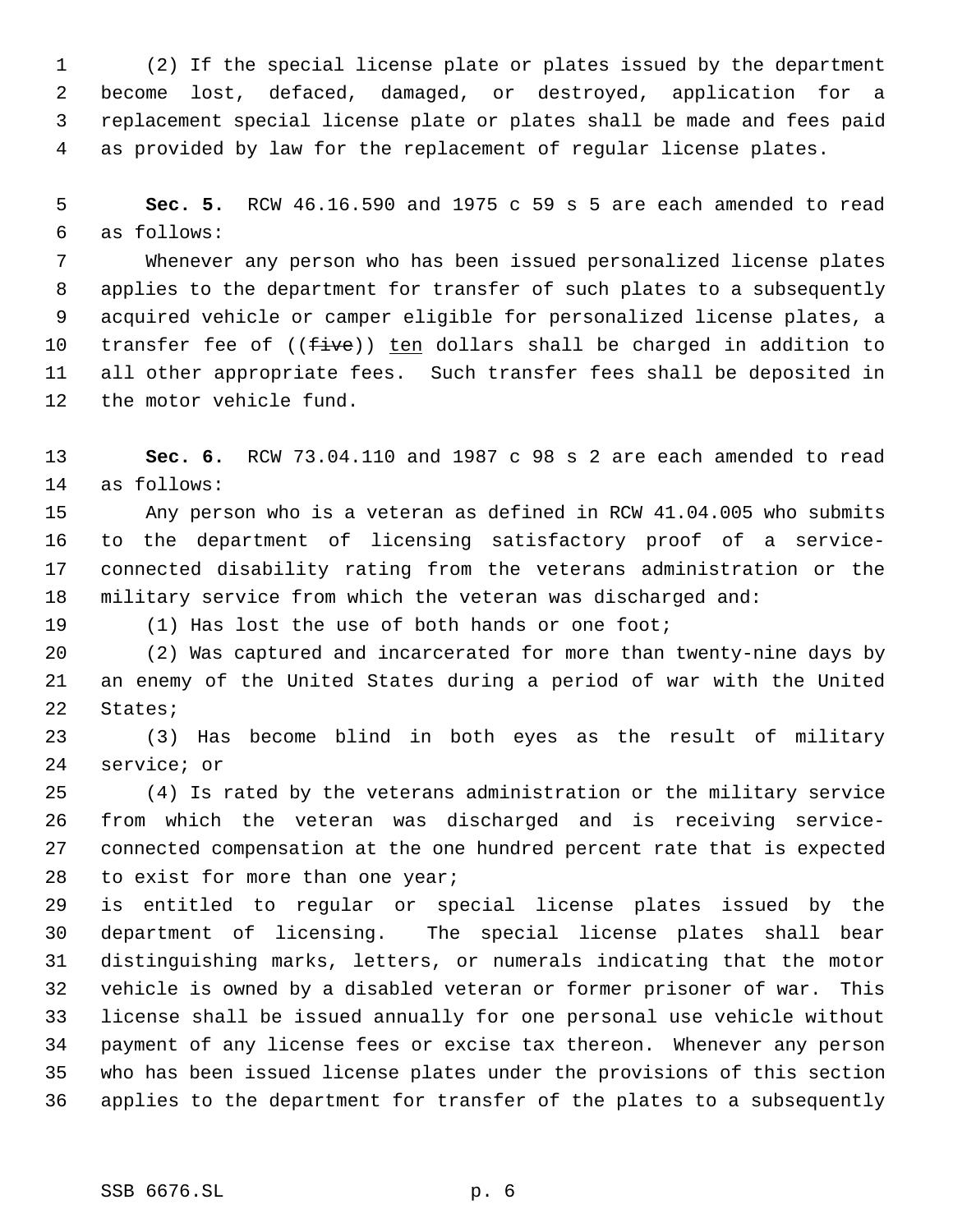(2) If the special license plate or plates issued by the department become lost, defaced, damaged, or destroyed, application for a replacement special license plate or plates shall be made and fees paid as provided by law for the replacement of regular license plates.

 **Sec. 5.** RCW 46.16.590 and 1975 c 59 s 5 are each amended to read as follows:

 Whenever any person who has been issued personalized license plates applies to the department for transfer of such plates to a subsequently acquired vehicle or camper eligible for personalized license plates, a 10 transfer fee of  $((five))$  ten dollars shall be charged in addition to all other appropriate fees. Such transfer fees shall be deposited in the motor vehicle fund.

 **Sec. 6.** RCW 73.04.110 and 1987 c 98 s 2 are each amended to read as follows:

 Any person who is a veteran as defined in RCW 41.04.005 who submits to the department of licensing satisfactory proof of a service- connected disability rating from the veterans administration or the military service from which the veteran was discharged and:

(1) Has lost the use of both hands or one foot;

 (2) Was captured and incarcerated for more than twenty-nine days by an enemy of the United States during a period of war with the United States;

 (3) Has become blind in both eyes as the result of military service; or

 (4) Is rated by the veterans administration or the military service from which the veteran was discharged and is receiving service- connected compensation at the one hundred percent rate that is expected 28 to exist for more than one year;

 is entitled to regular or special license plates issued by the department of licensing. The special license plates shall bear distinguishing marks, letters, or numerals indicating that the motor vehicle is owned by a disabled veteran or former prisoner of war. This license shall be issued annually for one personal use vehicle without payment of any license fees or excise tax thereon. Whenever any person who has been issued license plates under the provisions of this section applies to the department for transfer of the plates to a subsequently